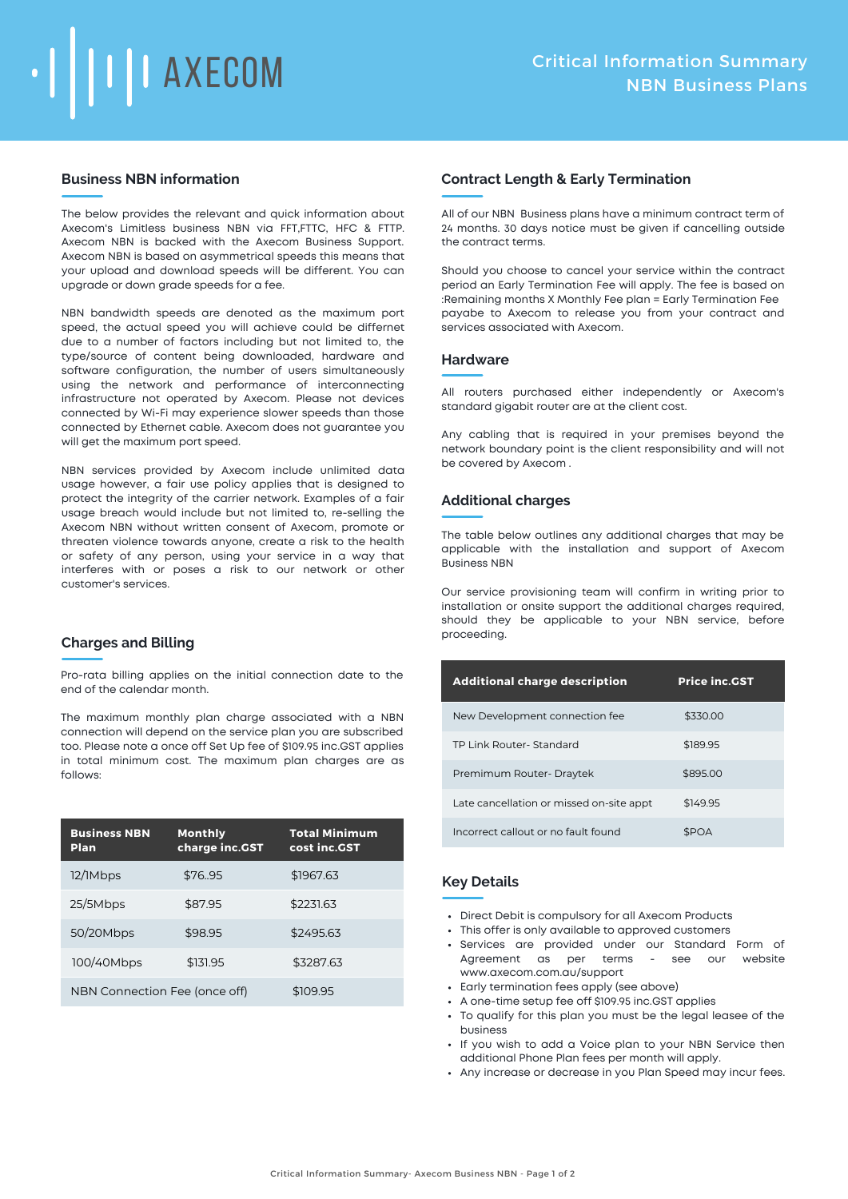

## **Business NBN information**

The below provides the relevant and quick information about Axecom's Limitless business NBN via FFT,FTTC, HFC & FTTP. Axecom NBN is backed with the Axecom Business Support. Axecom NBN is based on asymmetrical speeds this means that your upload and download speeds will be different. You can upgrade or down grade speeds for a fee.

NBN bandwidth speeds are denoted as the maximum port speed, the actual speed you will achieve could be differnet due to a number of factors including but not limited to, the type/source of content being downloaded, hardware and software configuration, the number of users simultaneously using the network and performance of interconnecting infrastructure not operated by Axecom. Please not devices connected by Wi-Fi may experience slower speeds than those connected by Ethernet cable. Axecom does not guarantee you will get the maximum port speed.

NBN services provided by Axecom include unlimited data usage however, a fair use policy applies that is designed to protect the integrity of the carrier network. Examples of a fair usage breach would include but not limited to, re-selling the Axecom NBN without written consent of Axecom, promote or threaten violence towards anyone, create a risk to the health or safety of any person, using your service in a way that interferes with or poses a risk to our network or other customer's services.

### **Charges and Billing**

Pro-rata billing applies on the initial connection date to the end of the calendar month.

The maximum monthly plan charge associated with a NBN connection will depend on the service plan you are subscribed too. Please note a once off Set Up fee of \$109.95 inc.GST applies in total minimum cost. The maximum plan charges are as follows:

| <b>Business NBN</b><br><b>Plan</b> | <b>Monthly</b><br>charge inc.GST | <b>Total Minimum</b><br>cost inc.GST |
|------------------------------------|----------------------------------|--------------------------------------|
| 12/1Mbps                           | \$76.95                          | \$1967.63                            |
| 25/5Mbps                           | \$87.95                          | \$2231.63                            |
| 50/20Mbps                          | \$98.95                          | \$2495.63                            |
| 100/40Mbps                         | \$131.95                         | \$3287.63                            |
| NBN Connection Fee (once off)      |                                  | \$109.95                             |

## **Contract Length & Early Termination**

All of our NBN Business plans have a minimum contract term of 24 months. 30 days notice must be given if cancelling outside the contract terms.

Should you choose to cancel your service within the contract period an Early Termination Fee will apply. The fee is based on :Remaining months X Monthly Fee plan = Early Termination Fee payabe to Axecom to release you from your contract and services associated with Axecom.

#### **Hardware**

All routers purchased either independently or Axecom's standard gigabit router are at the client cost.

Any cabling that is required in your premises beyond the network boundary point is the client responsibility and will not be covered by Axecom .

### **Additional charges**

The table below outlines any additional charges that may be applicable with the installation and support of Axecom Business NBN

Our service provisioning team will confirm in writing prior to installation or onsite support the additional charges required, should they be applicable to your NBN service, before proceeding.

| <b>Additional charge description</b>     | <b>Price inc.GST</b> |
|------------------------------------------|----------------------|
| New Development connection fee           | \$330.00             |
| TP Link Router-Standard                  | \$189.95             |
| Premimum Router-Draytek                  | \$895.00             |
| Late cancellation or missed on-site appt | \$149.95             |
| Incorrect callout or no fault found      | <b>SPOA</b>          |

# **Key Details**

- Direct Debit is compulsory for all Axecom Products
- This offer is only available to approved customers
- Services are provided under our Standard Form of Agreement as per terms - see our website www.axecom.com.au/support
- Early termination fees apply (see above)
- A one-time setup fee off \$109.95 inc.GST applies
- To qualify for this plan you must be the legal leasee of the business
- If you wish to add a Voice plan to your NBN Service then additional Phone Plan fees per month will apply.
- Any increase or decrease in you Plan Speed may incur fees.